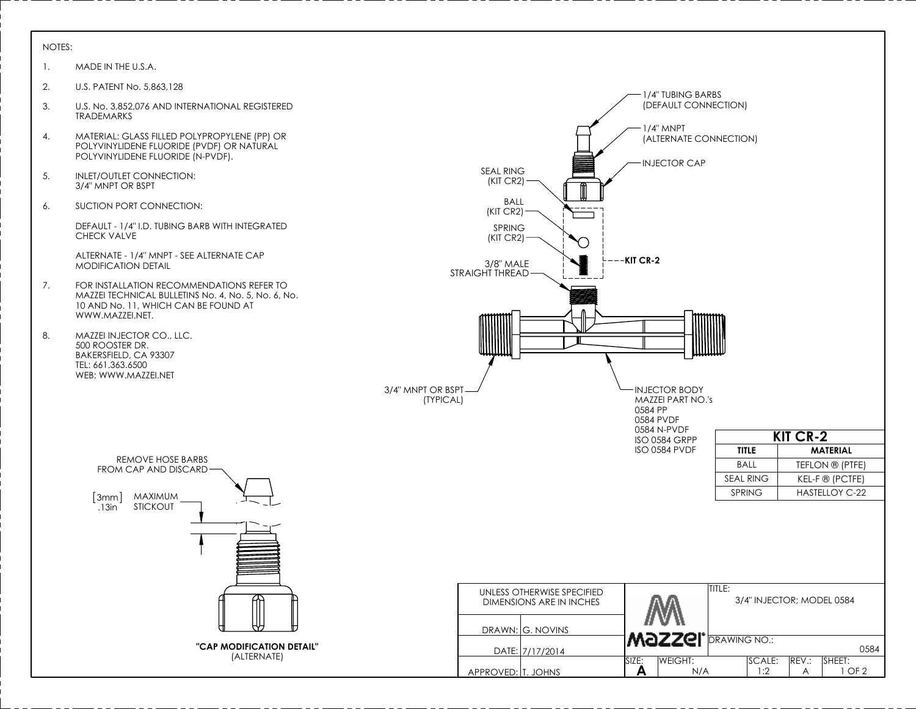## NOTES:

- 1. MADE IN THE U.S.A.
- 2. U.S. PATENT No. 5,863,128
- 3. U.S. No. 3,852,076 AND INTERNATIONAL REGISTERED TRADEMARKS
- 4. MATERIAL: GLASS FILLED POLYPROPYLENE (PP) OR POLYVINYLIDENE FLUORIDE (PVDF) OR NATURAL POLYVINYLIDENE FLUORIDE (N-PVDF).
- 5. INLET/OUTLET CONNECTION: 3/4" MNPT OR BSPT
- 6. SUCTION PORT CONNECTION:

DEFAULT - 1/4" I.D. TUBING BARB WITH INTEGRATED CHECK VALVE

ALTERNATE - 1/4" MNPT - SEE ALTERNATE CAP MODIFICATION DETAIL

- 7. FOR INSTALLATION RECOMMENDATIONS REFER TO MAZZEI TECHNICAL BULLETINS No. 4, No. 5, No. 6, No. 10 AND No. 11, WHICH CAN BE FOUND AT WWW.MAZZEI.NET.
- 8. MAZZEI INJECTOR CO., LLC. 500 ROOSTER DR. BAKERSFIELD, CA 93307 TEL: 661.363.6500 WEB: WWW.MAZZEI.NET

3mm MAXIMUM

STICKOUT

REMOVE HOSE BARBS FROM CAP AND DISCARD

> **"CAP MODIFICATION DETAIL"** (ALTERNATE)

.13in

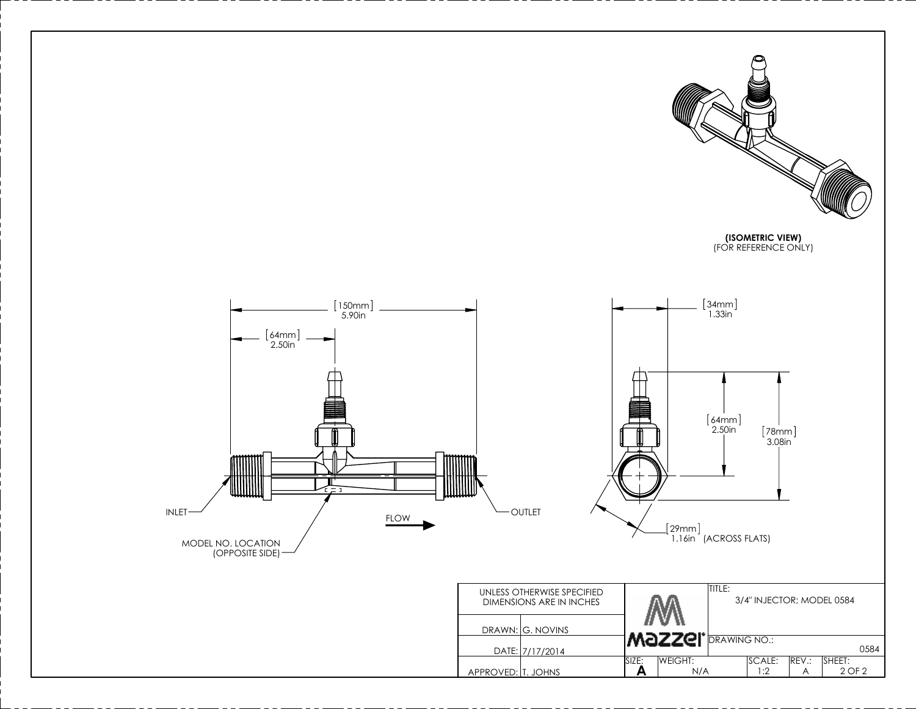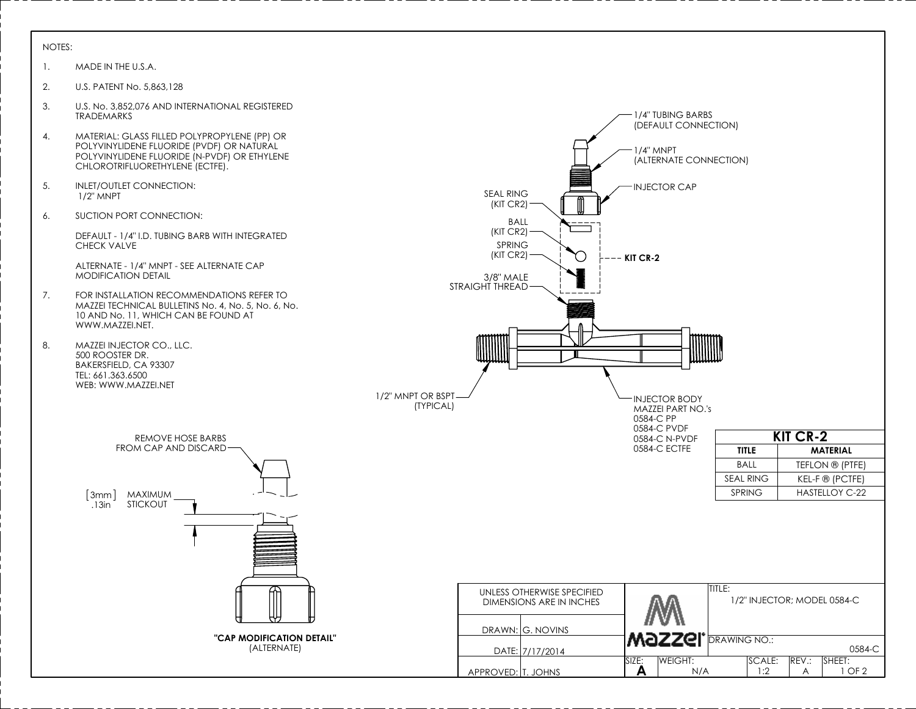## NOTES:

- 1. MADE IN THE U.S.A.
- 2. U.S. PATENT No. 5,863,128
- 3. U.S. No. 3,852,076 AND INTERNATIONAL REGISTERED 1/4" TUBING BARBS TRADEMARKS (DEFAULT CONNECTION) 4. MATERIAL: GLASS FILLED POLYPROPYLENE (PP) OR POLYVINYLIDENE FLUORIDE (PVDF) OR NATURAL 1/4" MNPT POLYVINYLIDENE FLUORIDE (N-PVDF) OR ETHYLENE (ALTERNATE CONNECTION) CHLOROTRIFLUORETHYLENE (ECTFE). 5. INLET/OUTLET CONNECTION: INJECTOR CAP SEAL RING 1/2" MNPT (KIT CR2) 6. SUCTION PORT CONNECTION: BALL (KIT CR2) DEFAULT - 1/4" I.D. TUBING BARB WITH INTEGRATED CHECK VALVE SPRING (KIT CR2) ∩ **KIT CR-2** ALTERNATE - 1/4" MNPT - SEE ALTERNATE CAP MODIFICATION DETAIL 3/8" MALE STRAIGHT THREAD 7. FOR INSTALLATION RECOMMENDATIONS REFER TO MAZZEI TECHNICAL BULLETINS No. 4, No. 5, No. 6, No. 10 AND No. 11, WHICH CAN BE FOUND AT WWW.MAZZEI.NET. 8. MAZZEI INJECTOR CO., LLC. 500 ROOSTER DR. BAKERSFIELD, CA 93307 TEL: 661.363.6500 WEB: WWW.MAZZEI.NET 1/2" MNPT OR BSPT INJECTOR BODY (TYPICAL) MAZZEI PART NO.'s 0584-C PP 0584-C PVDF **KIT CR-2** REMOVE HOSE BARBS 0584-C N-PVDF FROM CAP AND DISCARD 0584-C ECTFE **TITLE MATERIAL** BALL TEFLON ® (PTFE) SEAL RING | KEL-F ® (PCTFE) SPRING | HASTELLOY C-22 3mm MAXIMUM STICKOUT .13in TITLE: UNLESS OTHERWISE SPECIFIED 1/2" INJECTOR; MODEL 0584-C DIMENSIONS ARE IN INCHES DRAWN: G. NOVINS **"CAP MODIFICATION DETAIL" MAZZEI DRAWING NO.:** (ALTERNATE) 0584-C DATE: 7/17/2014 SIZE:<br>A WEIGHT: SCALE: REV.: SHEET:<br>1:2 A 1 C APPROVED: T. JOHNS **A** A 1 OF 2 N/A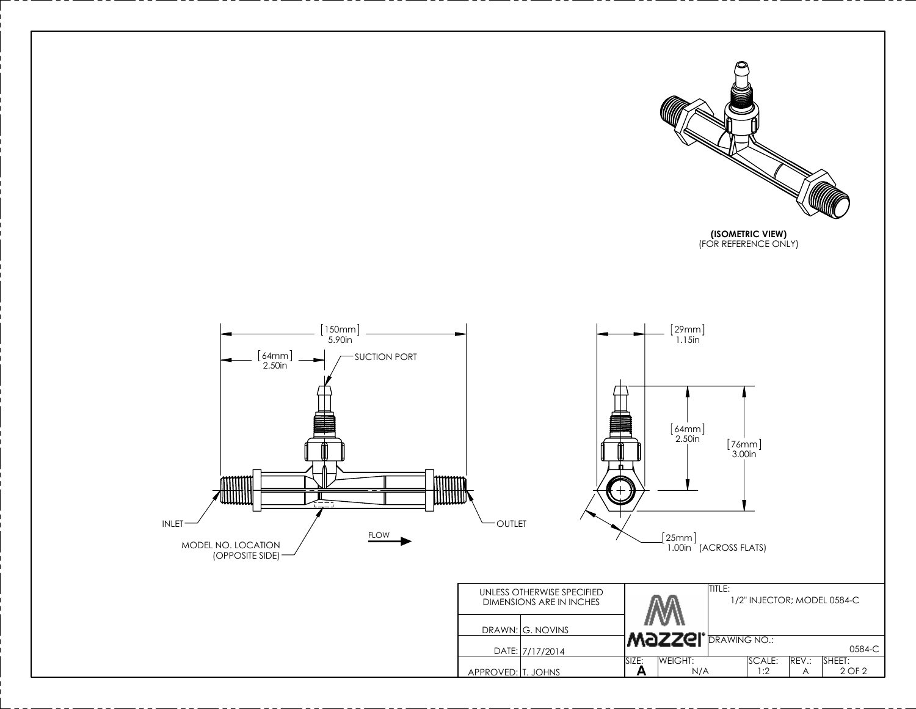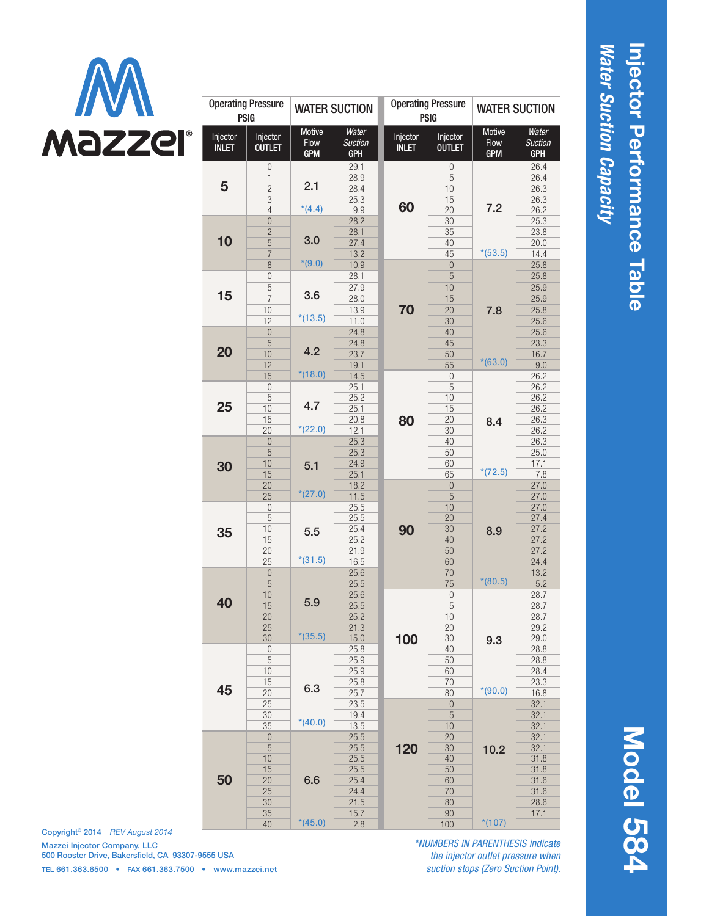

| <b>Operating Pressure</b><br><b>PSIG</b> |                                                                                        | <b>WATER SUCTION</b>                |                                                             | <b>Operating Pressure</b><br><b>PSIG</b> |                                               | <b>WATER SUCTION</b>                |                                                      |
|------------------------------------------|----------------------------------------------------------------------------------------|-------------------------------------|-------------------------------------------------------------|------------------------------------------|-----------------------------------------------|-------------------------------------|------------------------------------------------------|
| Injector<br><b>INLET</b>                 | Injector<br><b>OUTLET</b>                                                              | <b>Motive</b><br>Flow<br><b>GPM</b> | Water<br><b>Suction</b><br>GPH                              | Injector<br><b>INLET</b>                 | Injector<br><b>OUTLET</b>                     | <b>Motive</b><br>Flow<br><b>GPM</b> | Water<br><b>Suction</b><br><b>GPH</b>                |
| 5                                        | 0<br>1<br>$\overline{c}$<br>3                                                          | 2.1<br>$*(4.4)$                     | 29.1<br>28.9<br>28.4<br>25.3                                | 60                                       | 0<br>5<br>10<br>15                            | 7.2                                 | 26.4<br>26.4<br>26.3<br>26.3                         |
| 10                                       | $\overline{4}$<br>$\overline{0}$<br>$\overline{c}$<br>$\overline{5}$<br>$\overline{7}$ | 3.0<br>$*(9.0)$                     | 9.9<br>28.2<br>28.1<br>27.4<br>13.2                         |                                          | 20<br>30<br>35<br>40<br>45                    | $*(53.5)$                           | 26.2<br>25.3<br>23.8<br>20.0<br>14.4                 |
| 15                                       | 8<br>$\mathbf 0$<br>5<br>$\overline{I}$<br>10<br>12                                    | 3.6<br>$*(13.5)$                    | 10.9<br>28.1<br>27.9<br>28.0<br>13.9<br>11.0                | 70                                       | $\theta$<br>5<br>10<br>15<br>20<br>30         | 7.8                                 | 25.8<br>25.8<br>25.9<br>25.9<br>25.8<br>25.6         |
| 20                                       | $\overline{0}$<br>5<br>10<br>12<br>15                                                  | 4.2<br>$*(18.0)$                    | 24.8<br>24.8<br>23.7<br>19.1<br>14.5                        |                                          | 40<br>45<br>50<br>55<br>$\mathbf 0$           | $*(63.0)$                           | 25.6<br>23.3<br>16.7<br>9.0<br>26.2                  |
| 25                                       | $\mathbf{0}$<br>5<br>10<br>15<br>20                                                    | 4.7<br>$*(22.0)$                    | 25.1<br>25.2<br>25.1<br>20.8<br>12.1                        | 80                                       | 5<br>10<br>15<br>20<br>30                     | 8.4                                 | 26.2<br>26.2<br>26.2<br>26.3<br>26.2                 |
| 30                                       | $\mathbf{0}$<br>5<br>10<br>15<br>20                                                    | 5.1<br>$*(27.0)$                    | 25.3<br>25.3<br>24.9<br>25.1<br>18.2                        |                                          | 40<br>50<br>60<br>65<br>$\overline{0}$        | $*(72.5)$                           | 26.3<br>25.0<br>17.1<br>7.8<br>27.0                  |
| 35                                       | 25<br>$\boldsymbol{0}$<br>5<br>10<br>15<br>20<br>25                                    | 5.5<br>$*(31.5)$                    | 11.5<br>25.5<br>25.5<br>25.4<br>25.2<br>21.9<br>16.5        | 90                                       | 5<br>10<br>20<br>30<br>40<br>50<br>60         | 8.9                                 | 27.0<br>27.0<br>27.4<br>27.2<br>27.2<br>27.2<br>24.4 |
| 40                                       | $\mathbf{0}$<br>5<br>10<br>15<br>$20\,$<br>25                                          | 5.9                                 | 25.6<br>25.5<br>25.6<br>25.5<br>25.2<br>21.3                |                                          | 70<br>75<br>0<br>$\sqrt{5}$<br>10<br>20       | $*(80.5)$                           | 13.2<br>5.2<br>28.7<br>28.7<br>28.7<br>29.2          |
| 45                                       | 30<br>$\mathbf 0$<br>$\mathbf 5$<br>10<br>15<br>20                                     | $*(35.5)$<br>6.3                    | 15.0<br>25.8<br>25.9<br>25.9<br>25.8<br>25.7                | 100                                      | 30<br>40<br>50<br>60<br>70<br>80              | 9.3<br>$*(90.0)$                    | 29.0<br>28.8<br>28.8<br>28.4<br>23.3<br>16.8         |
|                                          | 25<br>30<br>35<br>$\begin{matrix} 0 \\ 0 \end{matrix}$                                 | $*(40.0)$                           | 23.5<br>19.4<br>13.5<br>25.5                                | 120                                      | $\bf 0$<br>$\overline{5}$<br>10<br>20         | 10.2<br>$*(107)$                    | 32.1<br>32.1<br>32.1<br>32.1                         |
| 50                                       | $\overline{5}$<br>10<br>15<br>20<br>25<br>30<br>35<br>40                               | 6.6<br>$*(45.0)$                    | 25.5<br>25.5<br>25.5<br>25.4<br>24.4<br>21.5<br>15.7<br>2.8 |                                          | 30<br>40<br>50<br>60<br>70<br>80<br>90<br>100 |                                     | 32.1<br>31.8<br>31.8<br>31.6<br>31.6<br>28.6<br>17.1 |

Copyright© 2014 *REV August 2014* Mazzei Injector Company, LLC 500 Rooster Drive, Bakersfield, CA 93307-9555 USA TEL 661.363.6500 • FAX 661.363.7500 • www.mazzei.net

*\*NUMBERS IN PARENTHESIS indicate the injector outlet pressure when suction stops (Zero Suction Point).*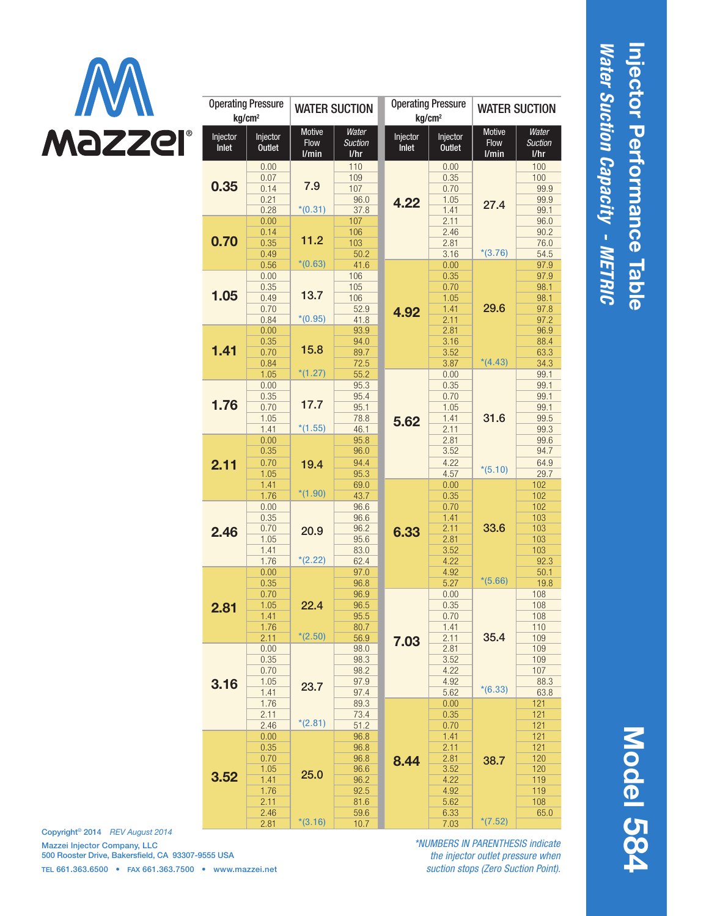

| <b>Operating Pressure</b><br>kg/cm <sup>2</sup> |                           | <b>WATER SUCTION</b> |                        | <b>Operating Pressure</b><br>kg/cm <sup>2</sup> |                           | <b>WATER SUCTION</b> |                        |
|-------------------------------------------------|---------------------------|----------------------|------------------------|-------------------------------------------------|---------------------------|----------------------|------------------------|
|                                                 |                           | <b>Motive</b>        | Water                  |                                                 |                           | <b>Motive</b>        | Water                  |
| Injector<br>Inlet                               | Injector<br><b>Outlet</b> | Flow<br>l/min        | <b>Suction</b><br>1/hr | Injector<br>Inlet                               | Injector<br><b>Outlet</b> | Flow<br>I/min        | <b>Suction</b><br>1/hr |
| 0.35                                            | 0.00                      | 7.9                  | 110                    | 4.22                                            | 0.00                      |                      | 100                    |
|                                                 | 0.07                      |                      | 109                    |                                                 | 0.35                      | 27.4                 | 100                    |
|                                                 | 0.14                      |                      | 107                    |                                                 | 0.70                      |                      | 99.9                   |
|                                                 | 0.21                      | $*(0.31)$            | 96.0                   |                                                 | 1.05                      |                      | 99.9                   |
| 0.70                                            | 0.28<br>0.00              | 11.2                 | 37.8<br>107            |                                                 | 1.41<br>2.11              |                      | 99.1<br>96.0           |
|                                                 | 0.14                      |                      | 106                    |                                                 | 2.46                      |                      | 90.2                   |
|                                                 | 0.35                      |                      | 103                    |                                                 | 2.81                      |                      | 76.0                   |
|                                                 | 0.49                      |                      | 50.2                   |                                                 | 3.16                      | $*(3.76)$            | 54.5                   |
|                                                 | 0.56                      | $*(0.63)$            | 41.6                   |                                                 | 0.00                      |                      | 97.9                   |
|                                                 | 0.00                      |                      | 106                    |                                                 | 0.35                      |                      | 97.9                   |
|                                                 | 0.35                      |                      | 105                    |                                                 | 0.70                      |                      | 98.1                   |
| 1.05                                            | 0.49                      | 13.7                 | 106                    |                                                 | 1.05                      |                      | 98.1                   |
|                                                 | 0.70                      | $*(0.95)$            | 52.9                   | 4.92                                            | 1.41                      | 29.6                 | 97.8                   |
|                                                 | 0.84<br>0.00              |                      | 41.8                   |                                                 | 2.11                      |                      | 97.2                   |
|                                                 | 0.35                      |                      | 93.9<br>94.0           |                                                 | 2.81<br>3.16              |                      | 96.9<br>88.4           |
| 1.41                                            | 0.70                      | 15.8                 | 89.7                   |                                                 | 3.52                      |                      | 63.3                   |
|                                                 | 0.84                      |                      | 72.5                   |                                                 | 3.87                      | $*(4.43)$            | 34.3                   |
|                                                 | 1.05                      | $*(1.27)$            | 55.2                   |                                                 | 0.00                      |                      | 99.1                   |
|                                                 | 0.00                      |                      | 95.3                   | 5.62                                            | 0.35                      |                      | 99.1                   |
|                                                 | 0.35                      |                      | 95.4                   |                                                 | 0.70                      |                      | 99.1                   |
| 1.76                                            | 0.70                      | 17.7                 | 95.1                   |                                                 | 1.05                      |                      | 99.1                   |
|                                                 | 1.05                      |                      | 78.8                   |                                                 | 1.41                      | 31.6                 | 99.5                   |
|                                                 | 1.41                      | $*(1.55)$            | 46.1                   |                                                 | 2.11                      | $*(5.10)$<br>33.6    | 99.3                   |
|                                                 | 0.00                      |                      | 95.8                   |                                                 | 2.81                      |                      | 99.6                   |
|                                                 | 0.35                      |                      | 96.0                   |                                                 | 3.52                      |                      | 94.7                   |
| 2.11                                            | 0.70                      | 19.4                 | 94.4                   |                                                 | 4.22                      |                      | 64.9                   |
|                                                 | 1.05<br>1.41              |                      | 95.3<br>69.0           |                                                 | 4.57<br>0.00              |                      | 29.7<br>102            |
|                                                 | 1.76                      | $*(1.90)$            | 43.7                   |                                                 | 0.35                      |                      | 102                    |
|                                                 | 0.00                      |                      | 96.6                   |                                                 | 0.70                      |                      | 102                    |
|                                                 | 0.35                      |                      | 96.6                   | 6.33                                            | 1.41                      |                      | 103                    |
| 2.46                                            | 0.70                      | 20.9                 | 96.2                   |                                                 | 2.11                      |                      | 103                    |
|                                                 | 1.05                      |                      | 95.6                   |                                                 | 2.81                      |                      | 103                    |
|                                                 | 1.41                      |                      | 83.0                   |                                                 | 3.52                      |                      | 103                    |
|                                                 | 1.76                      | $*(2.22)$            | 62.4                   |                                                 | 4.22                      |                      | 92.3                   |
|                                                 | 0.00                      |                      | 97.0                   |                                                 | 4.92                      | $*(5.66)$            | 50.1                   |
|                                                 | 0.35                      |                      | 96.8                   |                                                 | 5.27                      |                      | 19.8                   |
|                                                 | 0.70                      | 22.4<br>$*(2.50)$    | 96.9<br>96.5           |                                                 | 0.00<br>0.35              |                      | 108<br>108             |
| 2.81                                            | 1.05<br>1.41              |                      | 95.5                   |                                                 | 0.70                      |                      | 108                    |
|                                                 | 1.76                      |                      | 80.7                   |                                                 | 1.41                      |                      | 110                    |
|                                                 | 2.11                      |                      | 56.9                   |                                                 | 2.11                      | 35.4                 | 109                    |
|                                                 | 0.00                      |                      | 98.0                   | 7.03                                            | 2.81                      | $*(6.33)$            | 109                    |
|                                                 | 0.35                      | 23.7                 | 98.3                   |                                                 | 3.52                      |                      | 109                    |
|                                                 | 0.70                      |                      | 98.2                   |                                                 | 4.22                      |                      | 107                    |
| 3.16                                            | 1.05                      |                      | 97.9                   |                                                 | 4.92                      |                      | 88.3                   |
|                                                 | 1.41                      |                      | 97.4                   |                                                 | 5.62                      | 38.7<br>$*(7.52)$    | 63.8                   |
|                                                 | 1.76                      |                      | 89.3                   |                                                 | 0.00                      |                      | 121                    |
|                                                 | 2.11<br>2.46              | $*(2.81)$            | 73.4<br>51.2           |                                                 | 0.35<br>0.70              |                      | 121<br>121             |
| 3.52                                            | 0.00                      | 25.0                 | 96.8                   | 8.44                                            | 1.41                      |                      | 121                    |
|                                                 | 0.35                      |                      | 96.8                   |                                                 | 2.11                      |                      | 121                    |
|                                                 | 0.70                      |                      | 96.8                   |                                                 | 2.81                      |                      | 120                    |
|                                                 | 1.05                      |                      | 96.6                   |                                                 | 3.52                      |                      | 120                    |
|                                                 | 1.41                      |                      | 96.2                   |                                                 | 4.22                      |                      | 119                    |
|                                                 | 1.76                      |                      | 92.5                   |                                                 | 4.92                      |                      | 119                    |
|                                                 | 2.11                      |                      | 81.6                   |                                                 | 5.62                      |                      | 108                    |
|                                                 | 2.46                      |                      | 59.6                   |                                                 | 6.33                      |                      | 65.0                   |
|                                                 | 2.81                      | $*(3.16)$            | 10.7                   |                                                 | 7.03                      |                      |                        |

*Water Suction Capacity - METRIC*

Water Suction Capacity - METRIC

Injector Performance Table

Injector Performance Table

Copyright© 2014 *REV August 2014* Mazzei Injector Company, LLC 500 Rooster Drive, Bakersfield, CA 93307-9555 USA TEL 661.363.6500 • FAX 661.363.7500 • www.mazzei.net

*\*NUMBERS IN PARENTHESIS indicate the injector outlet pressure when suction stops (Zero Suction Point).*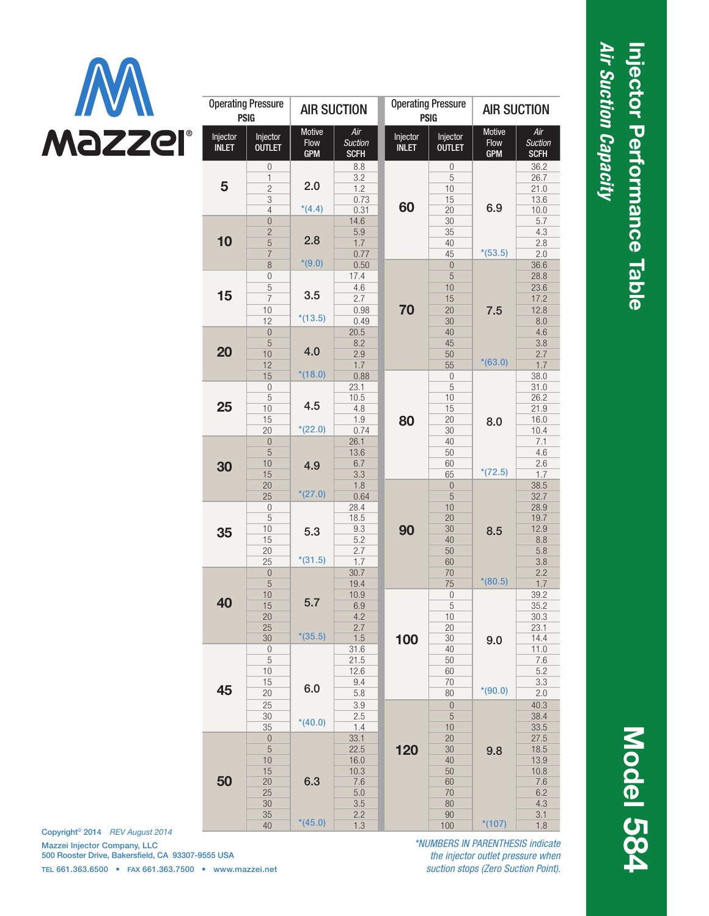

| <b>Operating Pressure</b><br><b>PSIG</b> |                                                                      | <b>AIR SUCTION</b>           |                                                         | <b>Operating Pressure</b><br><b>PSIG</b> |                                               | <b>AIR SUCTION</b>           |                                                         |
|------------------------------------------|----------------------------------------------------------------------|------------------------------|---------------------------------------------------------|------------------------------------------|-----------------------------------------------|------------------------------|---------------------------------------------------------|
| Injector<br><b>INLET</b>                 | Injector<br><b>OUTLET</b>                                            | Motive<br>Flow<br><b>GPM</b> | Air<br><b>Suction</b><br><b>SCFH</b>                    | Injector<br><b>INLET</b>                 | Injector<br><b>OUTLET</b>                     | Motive<br>Flow<br><b>GPM</b> | Air<br><b>Suction</b><br><b>SCFH</b>                    |
| 5                                        | $\overline{0}$<br>1<br>$\overline{c}$<br>3<br>$\overline{4}$         | 2.0<br>$*(4.4)$              | 8.8<br>3.2<br>1.2<br>0.73<br>0.31                       | 60                                       | 0<br>5<br>10<br>15<br>20                      | 6.9                          | 36.2<br>26.7<br>21.0<br>13.6<br>10.0                    |
| 10                                       | $\overline{0}$<br>$\overline{c}$<br>$\overline{5}$<br>$\overline{7}$ | 2.8<br>$*(9.0)$              | 14.6<br>5.9<br>1.7<br>0.77                              |                                          | 30<br>35<br>40<br>45                          | $*(53.5)$                    | 5.7<br>4.3<br>2.8<br>2.0                                |
| 15                                       | 8<br>$\mathbf{0}$<br>5<br>$\overline{7}$<br>10<br>12                 | 3.5<br>$*(13.5)$             | 0.50<br>17.4<br>4.6<br>2.7<br>0.98<br>0.49              | 70                                       | $\mathbf{0}$<br>5<br>10<br>15<br>20<br>30     | 7.5                          | 36.6<br>28.8<br>23.6<br>17.2<br>12.8<br>8.0             |
| 20                                       | $\mathbf{0}$<br>5<br>10<br>12                                        | 4.0<br>$*(18.0)$             | 20.5<br>8.2<br>2.9<br>1.7                               |                                          | 40<br>45<br>50<br>55                          | $*(63.0)$                    | 4.6<br>3.8<br>2.7<br>1.7                                |
| 25                                       | 15<br>$\mathbf{0}$<br>5<br>10<br>15<br>20                            | 4.5<br>$*(22.0)$             | 0.88<br>23.1<br>10.5<br>4.8<br>1.9<br>0.74              | 80                                       | $\boldsymbol{0}$<br>5<br>10<br>15<br>20<br>30 | 8.0                          | 38.0<br>31.0<br>26.2<br>21.9<br>16.0<br>10.4            |
| 30                                       | $\overline{0}$<br>5<br>10<br>15<br>20<br>25                          | 4.9<br>$*(27.0)$             | 26.1<br>13.6<br>6.7<br>3.3<br>1.8<br>0.64               |                                          | 40<br>50<br>60<br>65<br>$\overline{0}$<br>5   | $*(72.5)$                    | 7.1<br>4.6<br>2.6<br>1.7<br>38.5<br>32.7                |
| 35                                       | $\boldsymbol{0}$<br>5<br>10<br>15<br>20<br>25                        | 5.3<br>$*(31.5)$             | 28.4<br>18.5<br>9.3<br>5.2<br>2.7<br>1.7                | 90                                       | 10<br>20<br>30<br>40<br>50<br>60              | 8.5                          | 28.9<br>19.7<br>12.9<br>8.8<br>5.8<br>3.8               |
| 40                                       | $\bf 0$<br>5<br>10<br>15<br>$20\,$<br>25                             | 5.7                          | 30.7<br>19.4<br>10.9<br>6.9<br>4.2<br>2.7               |                                          | 70<br>75<br>$\mathbf{0}$<br>5<br>$10$<br>20   | $*(80.5)$                    | 2.2<br>1.7<br>39.2<br>35.2<br>30.3<br>23.1              |
| 45<br>50                                 | 30<br>$\boldsymbol{0}$<br>5<br>10<br>15<br>20                        | $*(35.5)$<br>6.0             | 1.5<br>31.6<br>21.5<br>12.6<br>9.4<br>5.8               | 100<br>120                               | 30<br>40<br>50<br>60<br>70<br>80              | 9.0<br>$*(90.0)$             | 14.4<br>11.0<br>7.6<br>5.2<br>3.3<br>2.0                |
|                                          | 25<br>30<br>35<br>$\bf 0$                                            | $*(40.0)$                    | 3.9<br>2.5<br>1.4<br>33.1                               |                                          | $\mathbf 0$<br>$\overline{5}$<br>10<br>20     |                              | 40.3<br>38.4<br>33.5<br>27.5                            |
|                                          | $\overline{5}$<br>10<br>15<br>20<br>25<br>30<br>35<br>40             | 6.3<br>$*(45.0)$             | 22.5<br>16.0<br>10.3<br>7.6<br>5.0<br>3.5<br>2.2<br>1.3 |                                          | 30<br>40<br>50<br>60<br>70<br>80<br>90<br>100 | 9.8<br>$*(107)$              | 18.5<br>13.9<br>10.8<br>7.6<br>6.2<br>4.3<br>3.1<br>1.8 |

Copyright© 2014 *REV August 2014* Mazzei Injector Company, LLC 500 Rooster Drive, Bakersfield, CA 93307-9555 USA TEL 661.363.6500 • FAX 661.363.7500 • www.mazzei.net

*\*NUMBERS IN PARENTHESIS indicate the injector outlet pressure when suction stops (Zero Suction Point).*

## *Air Suction Capacity*  Injector Performance Table Injector Performance Table Air Suction Capacity